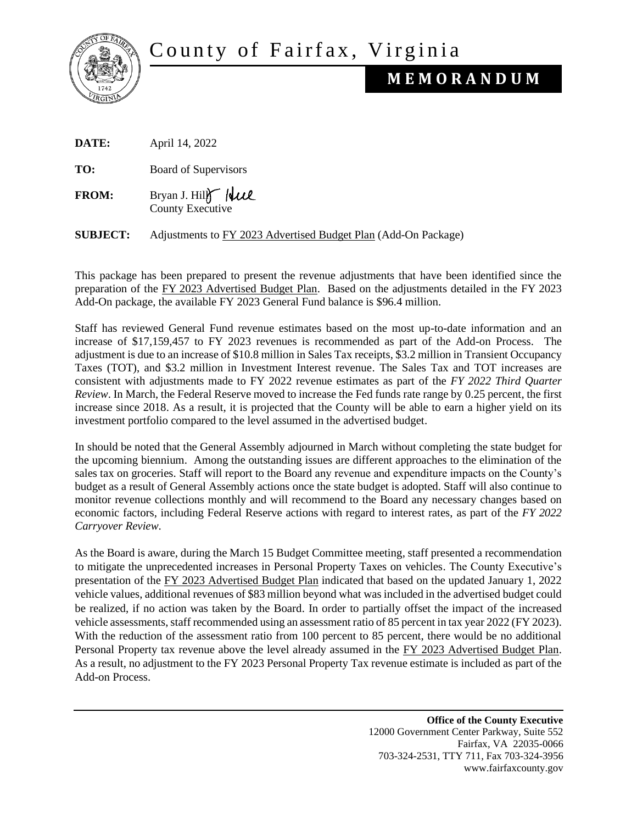County of Fairfax, Virginia



## **M E M O R A N D U M**

| DATE: | April 14, 2022 |  |
|-------|----------------|--|
|       |                |  |

**TO:** Board of Supervisors

**FROM:** Bryan J. Hill Well County Executive

**SUBJECT:** Adjustments to FY 2023 Advertised Budget Plan (Add-On Package)

This package has been prepared to present the revenue adjustments that have been identified since the preparation of the FY 2023 Advertised Budget Plan. Based on the adjustments detailed in the FY 2023 Add-On package, the available FY 2023 General Fund balance is \$96.4 million.

Staff has reviewed General Fund revenue estimates based on the most up-to-date information and an increase of \$17,159,457 to FY 2023 revenues is recommended as part of the Add-on Process. The adjustment is due to an increase of \$10.8 million in Sales Tax receipts, \$3.2 million in Transient Occupancy Taxes (TOT), and \$3.2 million in Investment Interest revenue. The Sales Tax and TOT increases are consistent with adjustments made to FY 2022 revenue estimates as part of the *FY 2022 Third Quarter Review*. In March, the Federal Reserve moved to increase the Fed funds rate range by 0.25 percent, the first increase since 2018. As a result, it is projected that the County will be able to earn a higher yield on its investment portfolio compared to the level assumed in the advertised budget.

In should be noted that the General Assembly adjourned in March without completing the state budget for the upcoming biennium. Among the outstanding issues are different approaches to the elimination of the sales tax on groceries. Staff will report to the Board any revenue and expenditure impacts on the County's budget as a result of General Assembly actions once the state budget is adopted. Staff will also continue to monitor revenue collections monthly and will recommend to the Board any necessary changes based on economic factors, including Federal Reserve actions with regard to interest rates, as part of the *FY 2022 Carryover Review*.

As the Board is aware, during the March 15 Budget Committee meeting, staff presented a recommendation to mitigate the unprecedented increases in Personal Property Taxes on vehicles. The County Executive's presentation of the FY 2023 Advertised Budget Plan indicated that based on the updated January 1, 2022 vehicle values, additional revenues of \$83 million beyond what was included in the advertised budget could be realized, if no action was taken by the Board. In order to partially offset the impact of the increased vehicle assessments, staff recommended using an assessment ratio of 85 percent in tax year 2022 (FY 2023). With the reduction of the assessment ratio from 100 percent to 85 percent, there would be no additional Personal Property tax revenue above the level already assumed in the FY 2023 Advertised Budget Plan. As a result, no adjustment to the FY 2023 Personal Property Tax revenue estimate is included as part of the Add-on Process.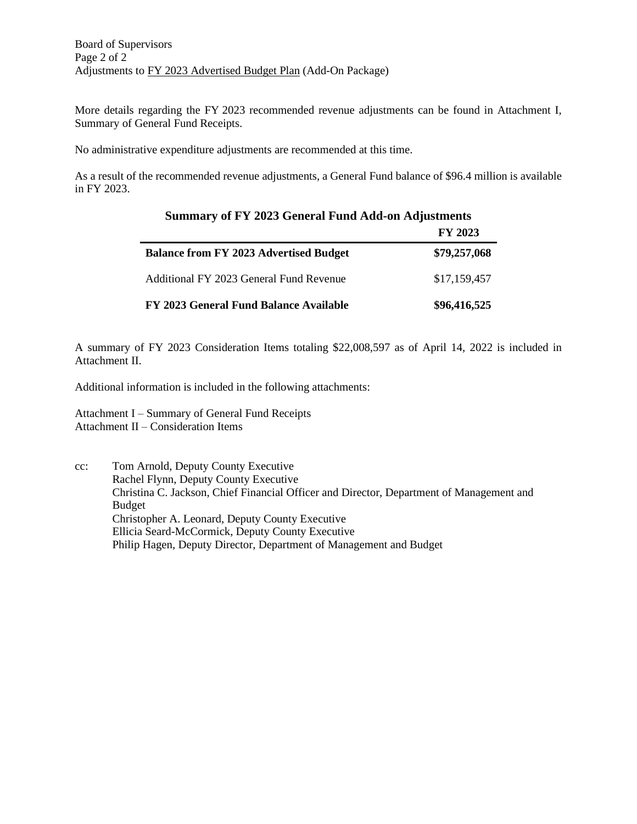More details regarding the FY 2023 recommended revenue adjustments can be found in Attachment I, Summary of General Fund Receipts.

No administrative expenditure adjustments are recommended at this time.

As a result of the recommended revenue adjustments, a General Fund balance of \$96.4 million is available in FY 2023.

**Summary of FY 2023 General Fund Add-on Adjustments** 

|                                               | <b>FY 2023</b> |
|-----------------------------------------------|----------------|
| <b>Balance from FY 2023 Advertised Budget</b> | \$79,257,068   |
| Additional FY 2023 General Fund Revenue       | \$17,159,457   |
| FY 2023 General Fund Balance Available        | \$96,416,525   |

A summary of FY 2023 Consideration Items totaling \$22,008,597 as of April 14, 2022 is included in Attachment II.

Additional information is included in the following attachments:

Attachment I – Summary of General Fund Receipts Attachment II – Consideration Items

cc: Tom Arnold, Deputy County Executive Rachel Flynn, Deputy County Executive Christina C. Jackson, Chief Financial Officer and Director, Department of Management and Budget Christopher A. Leonard, Deputy County Executive Ellicia Seard-McCormick, Deputy County Executive Philip Hagen, Deputy Director, Department of Management and Budget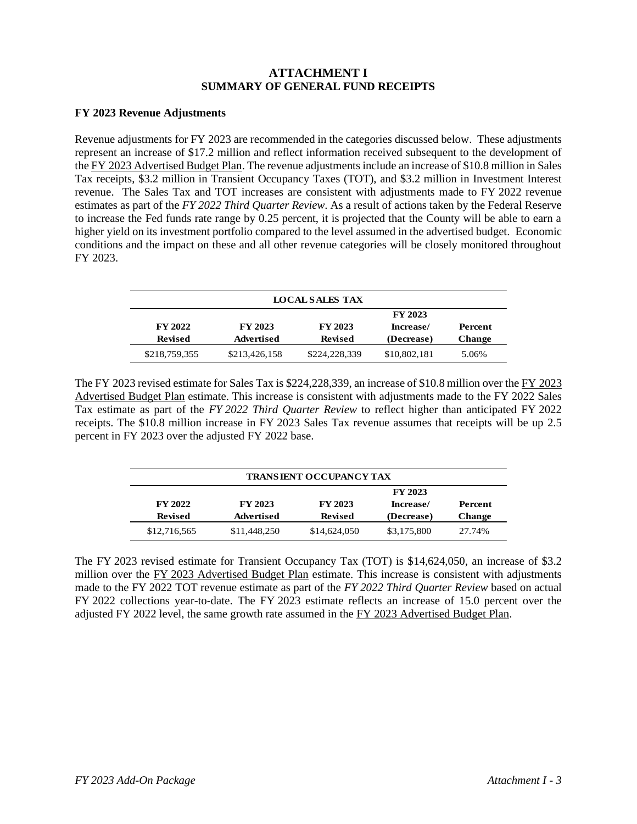## **ATTACHMENT I SUMMARY OF GENERAL FUND RECEIPTS**

## **FY 2023 Revenue Adjustments**

Revenue adjustments for FY 2023 are recommended in the categories discussed below. These adjustments represent an increase of \$17.2 million and reflect information received subsequent to the development of the FY 2023 Advertised Budget Plan. The revenue adjustments include an increase of \$10.8 million in Sales Tax receipts, \$3.2 million in Transient Occupancy Taxes (TOT), and \$3.2 million in Investment Interest revenue. The Sales Tax and TOT increases are consistent with adjustments made to FY 2022 revenue estimates as part of the *FY 2022 Third Quarter Review*. As a result of actions taken by the Federal Reserve to increase the Fed funds rate range by 0.25 percent, it is projected that the County will be able to earn a higher yield on its investment portfolio compared to the level assumed in the advertised budget. Economic conditions and the impact on these and all other revenue categories will be closely monitored throughout FY 2023.

| <b>LOCAL SALES TAX</b> |                |                |                |               |  |
|------------------------|----------------|----------------|----------------|---------------|--|
|                        |                |                | <b>FY 2023</b> |               |  |
| <b>FY 2022</b>         | <b>FY 2023</b> | <b>FY 2023</b> | Increase/      | Percent       |  |
| <b>Revised</b>         | Advertised     | <b>Revised</b> | (Decrease)     | <b>Change</b> |  |
| \$218,759,355          | \$213,426,158  | \$224,228,339  | \$10,802,181   | 5.06%         |  |

The FY 2023 revised estimate for Sales Tax is \$224,228,339, an increase of \$10.8 million over the FY 2023 Advertised Budget Plan estimate. This increase is consistent with adjustments made to the FY 2022 Sales Tax estimate as part of the *FY 2022 Third Quarter Review* to reflect higher than anticipated FY 2022 receipts. The \$10.8 million increase in FY 2023 Sales Tax revenue assumes that receipts will be up 2.5 percent in FY 2023 over the adjusted FY 2022 base.

| <b>TRANSIENT OCCUPANCY TAX</b> |                   |                |             |               |
|--------------------------------|-------------------|----------------|-------------|---------------|
|                                | <b>FY 2023</b>    |                |             |               |
| <b>FY 2022</b>                 | <b>FY 2023</b>    | <b>FY 2023</b> | Percent     |               |
| <b>Revised</b>                 | <b>Advertised</b> | <b>Revised</b> | (Decrease)  | <b>Change</b> |
| \$12,716,565                   | \$11,448,250      | \$14,624,050   | \$3,175,800 | 27.74%        |

The FY 2023 revised estimate for Transient Occupancy Tax (TOT) is \$14,624,050, an increase of \$3.2 million over the FY 2023 Advertised Budget Plan estimate. This increase is consistent with adjustments made to the FY 2022 TOT revenue estimate as part of the *FY 2022 Third Quarter Review* based on actual FY 2022 collections year-to-date. The FY 2023 estimate reflects an increase of 15.0 percent over the adjusted FY 2022 level, the same growth rate assumed in the FY 2023 Advertised Budget Plan.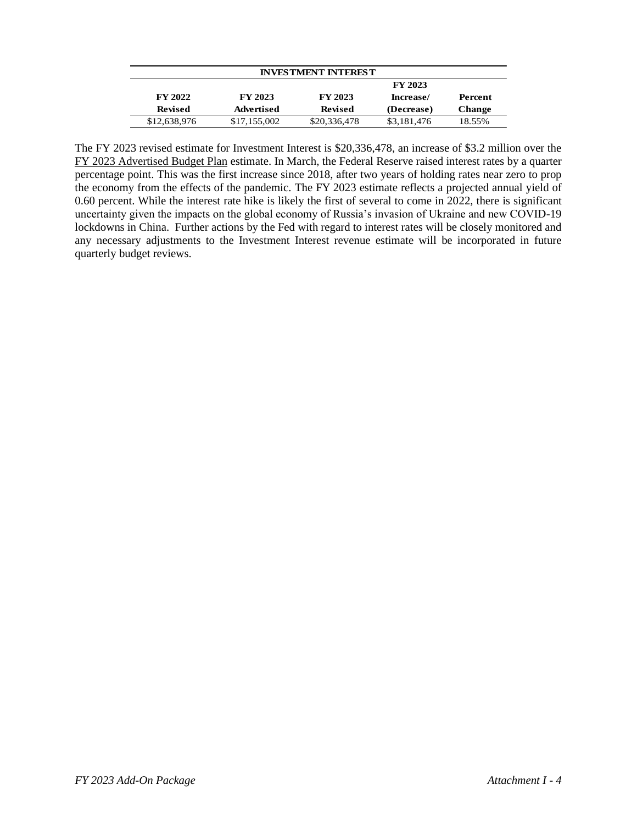| <b>INVESTMENT INTEREST</b> |                |                                        |             |               |  |
|----------------------------|----------------|----------------------------------------|-------------|---------------|--|
| <b>FY 2023</b>             |                |                                        |             |               |  |
| <b>FY 2022</b>             | <b>FY 2023</b> | <b>FY 2023</b><br>Percent<br>Increase/ |             |               |  |
| <b>Revised</b>             | Advertised     | <b>Revised</b>                         | (Decrease)  | <b>Change</b> |  |
| \$12,638,976               | \$17,155,002   | \$20,336,478                           | \$3,181,476 | 18.55%        |  |

The FY 2023 revised estimate for Investment Interest is \$20,336,478, an increase of \$3.2 million over the FY 2023 Advertised Budget Plan estimate. In March, the Federal Reserve raised interest rates by a quarter percentage point. This was the first increase since 2018, after two years of holding rates near zero to prop the economy from the effects of the pandemic. The FY 2023 estimate reflects a projected annual yield of 0.60 percent. While the interest rate hike is likely the first of several to come in 2022, there is significant uncertainty given the impacts on the global economy of Russia's invasion of Ukraine and new COVID-19 lockdowns in China. Further actions by the Fed with regard to interest rates will be closely monitored and any necessary adjustments to the Investment Interest revenue estimate will be incorporated in future quarterly budget reviews.